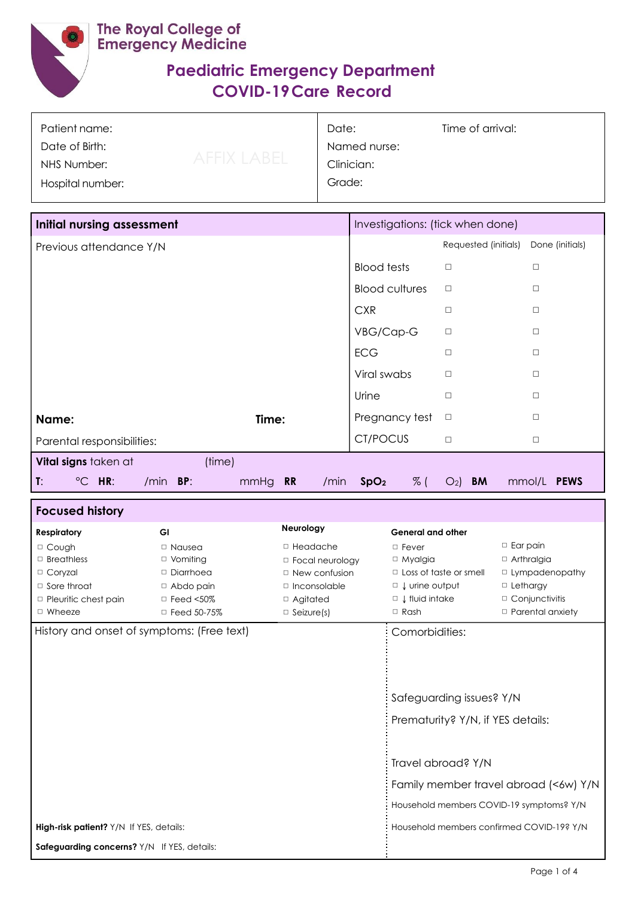

Г

## **Paediatric Emergency Department COVID-19Care Record**

| Patient name:    |             | Date:        | Time of arrival: |  |
|------------------|-------------|--------------|------------------|--|
| Date of Birth:   |             | Named nurse: |                  |  |
| NHS Number:      | AFFIX LABEL | Clinician:   |                  |  |
| Hospital number: |             | Grade:       |                  |  |
|                  |             |              |                  |  |
|                  |             |              |                  |  |

| <b>Initial nursing assessment</b>                         | Investigations: (tick when done)                                                          |
|-----------------------------------------------------------|-------------------------------------------------------------------------------------------|
| Previous attendance Y/N                                   | Requested (initials)<br>Done (initials)                                                   |
|                                                           | <b>Blood tests</b><br>$\Box$<br>$\Box$                                                    |
|                                                           | <b>Blood cultures</b><br>$\Box$<br>$\Box$                                                 |
|                                                           | <b>CXR</b><br>$\Box$<br>$\Box$                                                            |
|                                                           | VBG/Cap-G<br>$\Box$<br>$\Box$                                                             |
|                                                           | <b>ECG</b><br>$\Box$<br>$\Box$                                                            |
|                                                           | Viral swabs<br>$\Box$<br>$\Box$                                                           |
|                                                           | Urine<br>$\Box$<br>$\Box$                                                                 |
| Time:<br>Name:                                            | Pregnancy test<br>$\Box$<br>$\Box$                                                        |
| Parental responsibilities:                                | CT/POCUS<br>$\Box$<br>$\Box$                                                              |
| (time)<br>Vital signs taken at                            |                                                                                           |
| T:<br>$\degree$ C HR:<br>/min<br>BP:<br>mmHg<br><b>RR</b> | $%$ (<br><b>PEWS</b><br>SpO <sub>2</sub><br><b>BM</b><br>mmol/L<br>/min<br>O <sub>2</sub> |

| <b>Focused history</b>                      |                    |                                           |                                                               |                         |
|---------------------------------------------|--------------------|-------------------------------------------|---------------------------------------------------------------|-------------------------|
| <b>Respiratory</b>                          | <b>GI</b>          | Neurology                                 | <b>General and other</b>                                      |                         |
| □ Cough                                     | $\Box$ Nausea      | $\Box$ Headache                           | $\Box$ Fever                                                  | $\Box$ Ear pain         |
| $\Box$ Breathless                           | $\Box$ Vomiting    | $\Box$ Focal neurology                    | $\Box$ Myalgia                                                | $\Box$ Arthralgia       |
| □ Coryzal                                   | $\Box$ Diarrhoea   | $\Box$ New confusion                      | $\Box$ Loss of taste or smell                                 | $\Box$ Lympadenopathy   |
| $\Box$ Sore throat                          | $\Box$ Abdo pain   | $\Box$ Inconsolable                       | $\Box$ Urine output                                           | $\Box$ Lethargy         |
| $\Box$ Pleuritic chest pain                 | $\Box$ Feed <50%   | $\Box$ Agitated                           | $\Box$ I fluid intake                                         | $\Box$ Conjunctivitis   |
| $\Box$ Wheeze                               | $\Box$ Feed 50-75% | $\Box$ Seizure(s)                         | $\Box$ Rash                                                   | $\Box$ Parental anxiety |
| History and onset of symptoms: (Free text)  |                    |                                           | Comorbidities:                                                |                         |
|                                             |                    |                                           | Safeguarding issues? Y/N<br>Prematurity? Y/N, if YES details: |                         |
|                                             |                    |                                           | Travel abroad? Y/N                                            |                         |
|                                             |                    |                                           |                                                               |                         |
|                                             |                    |                                           | Family member travel abroad (<6w) Y/N                         |                         |
|                                             |                    |                                           | Household members COVID-19 symptoms? Y/N                      |                         |
| High-risk patient? Y/N If YES, details:     |                    | Household members confirmed COVID-19? Y/N |                                                               |                         |
| Safeguarding concerns? Y/N If YES, details: |                    |                                           |                                                               |                         |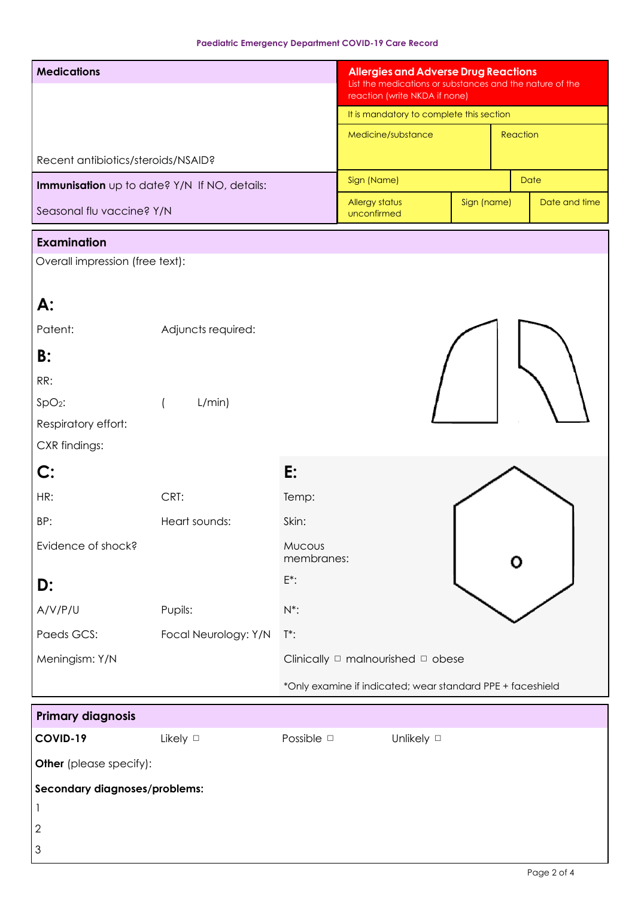| <b>Medications</b>                                                                 |                                              |                      | <b>Allergies and Adverse Drug Reactions</b><br>List the medications or substances and the nature of the<br>reaction (write NKDA if none)<br>It is mandatory to complete this section |                                                            |             |          |               |
|------------------------------------------------------------------------------------|----------------------------------------------|----------------------|--------------------------------------------------------------------------------------------------------------------------------------------------------------------------------------|------------------------------------------------------------|-------------|----------|---------------|
|                                                                                    |                                              |                      |                                                                                                                                                                                      | Medicine/substance                                         |             | Reaction |               |
| Recent antibiotics/steroids/NSAID?                                                 |                                              |                      |                                                                                                                                                                                      |                                                            |             |          |               |
|                                                                                    | Immunisation up to date? Y/N If NO, details: |                      | Sign (Name)                                                                                                                                                                          |                                                            |             |          | <b>Date</b>   |
| Seasonal flu vaccine? Y/N                                                          |                                              |                      | Allergy status<br>unconfirmed                                                                                                                                                        |                                                            | Sign (name) |          | Date and time |
| <b>Examination</b>                                                                 |                                              |                      |                                                                                                                                                                                      |                                                            |             |          |               |
| Overall impression (free text):                                                    |                                              |                      |                                                                                                                                                                                      |                                                            |             |          |               |
| А:<br>Patent:                                                                      | Adjuncts required:                           |                      |                                                                                                                                                                                      |                                                            |             |          |               |
| B:                                                                                 |                                              |                      |                                                                                                                                                                                      |                                                            |             |          |               |
| RR:                                                                                |                                              |                      |                                                                                                                                                                                      |                                                            |             |          |               |
| $SpO2$ :                                                                           | L/min)<br>$\left($                           |                      |                                                                                                                                                                                      |                                                            |             |          |               |
| Respiratory effort:                                                                |                                              |                      |                                                                                                                                                                                      |                                                            |             |          |               |
| CXR findings:                                                                      |                                              |                      |                                                                                                                                                                                      |                                                            |             |          |               |
| $\mathbf{C}$ :                                                                     |                                              | E:                   |                                                                                                                                                                                      |                                                            |             |          |               |
| HR:                                                                                | CRT:                                         | Temp:                |                                                                                                                                                                                      |                                                            |             |          |               |
| BP:                                                                                | Heart sounds:                                | Skin:                |                                                                                                                                                                                      |                                                            |             |          |               |
| Evidence of shock?                                                                 |                                              | Mucous<br>membranes: |                                                                                                                                                                                      |                                                            |             |          |               |
| D:                                                                                 |                                              | $E^*$ :              |                                                                                                                                                                                      |                                                            |             |          |               |
| A/V/P/U                                                                            | Pupils:                                      | $N^*$ :              |                                                                                                                                                                                      |                                                            |             |          |               |
| Paeds GCS:                                                                         | Focal Neurology: Y/N                         | $T^*$ :              |                                                                                                                                                                                      |                                                            |             |          |               |
| Meningism: Y/N                                                                     |                                              |                      |                                                                                                                                                                                      | Clinically $\Box$ malnourished $\Box$ obese                |             |          |               |
|                                                                                    |                                              |                      |                                                                                                                                                                                      | *Only examine if indicated; wear standard PPE + faceshield |             |          |               |
| <b>Primary diagnosis</b>                                                           |                                              |                      |                                                                                                                                                                                      |                                                            |             |          |               |
| COVID-19                                                                           | Likely $\square$                             | Possible <b>D</b>    |                                                                                                                                                                                      | Unlikely D                                                 |             |          |               |
| Other (please specify):                                                            |                                              |                      |                                                                                                                                                                                      |                                                            |             |          |               |
| Secondary diagnoses/problems:<br>J.<br>$\overline{c}$<br>$\ensuremath{\mathsf{3}}$ |                                              |                      |                                                                                                                                                                                      |                                                            |             |          |               |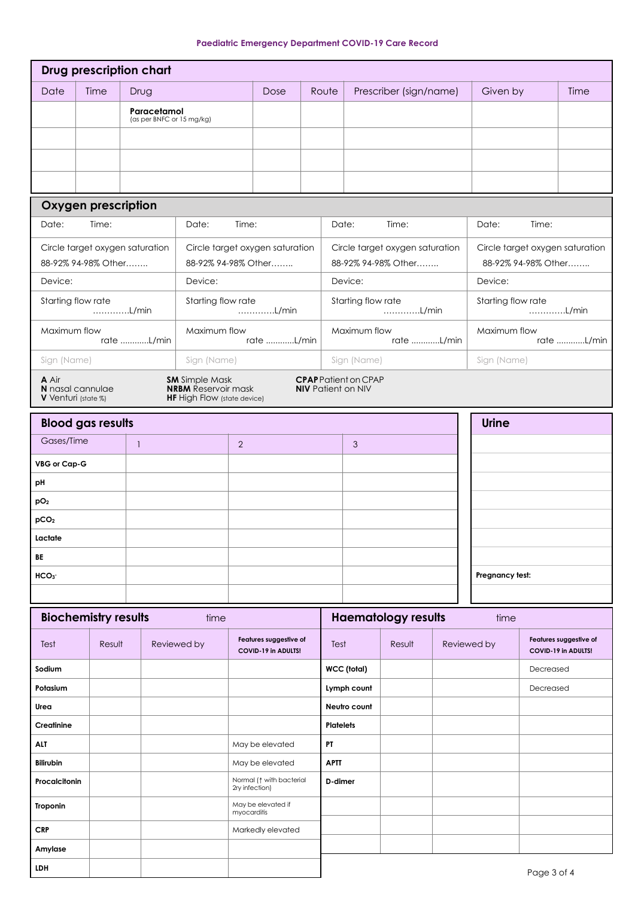|  |  |  | <b>Paediatric Emergency Department COVID-19 Care Record</b> |  |  |  |
|--|--|--|-------------------------------------------------------------|--|--|--|
|--|--|--|-------------------------------------------------------------|--|--|--|

| Date<br><b>Time</b><br>Prescriber (sign/name)<br>Given by<br>Time<br>Drug<br>Dose<br>Route<br>Paracetamol<br>(as per BNFC or 15 mg/kg)<br><b>Oxygen prescription</b><br>Date:<br>Time:<br>Date:<br>Time:<br>Date:<br>Time:<br>Date:<br>Time:<br>Circle target oxygen saturation<br>Circle target oxygen saturation<br>Circle target oxygen saturation<br>Circle target oxygen saturation<br>88-92% 94-98% Other<br>88-92% 94-98% Other<br>88-92% 94-98% Other<br>88-92% 94-98% Other<br>Device:<br>Device:<br>Device:<br>Device:<br>Starting flow rate<br>Starting flow rate<br>Starting flow rate<br>Starting flow rate<br>L/min<br>L/min<br>L/min<br>L/min<br>Maximum flow<br>Maximum flow<br>Maximum flow<br>Maximum flow<br>rate L/min<br>rate L/min<br>rate L/min<br>rate L/min<br>Sign (Name)<br>Sign (Name)<br>Sign (Name)<br>Sign (Name)<br><b>SM</b> Simple Mask<br><b>CPAP</b> Patient on CPAP<br>A Air<br>N nasal cannulae<br><b>NRBM</b> Reservoir mask<br><b>NIV</b> Patient on NIV<br>V Venturi (state %)<br><b>HF</b> High Flow (state device)<br><b>Urine</b><br><b>Blood gas results</b><br>Gases/Time<br>$\overline{2}$<br>3<br>$\mathbf{1}$<br>VBG or Cap-G<br>рH<br>pO <sub>2</sub><br>pCO <sub>2</sub><br>Lactate<br>BE<br>HCO <sub>3</sub><br>Pregnancy test:<br><b>Biochemistry results</b><br><b>Haematology results</b><br>time<br>time<br>Features suggestive of<br>Features suggestive of<br>Reviewed by<br>Reviewed by<br>Test<br>Result<br>Test<br>Result<br>COVID-19 in ADULTS!<br>COVID-19 in ADULTS!<br>WCC (total)<br>Sodium<br>Decreased<br>Potasium<br>Lymph count<br>Decreased<br>Neutro count<br>Urea<br>Creatinine<br><b>Platelets</b><br>May be elevated<br>PT<br>ALT<br><b>Bilirubin</b><br><b>APTT</b><br>May be elevated<br>Normal (1 with bacterial<br>D-dimer<br>Procalcitonin<br>2ry infection) |
|----------------------------------------------------------------------------------------------------------------------------------------------------------------------------------------------------------------------------------------------------------------------------------------------------------------------------------------------------------------------------------------------------------------------------------------------------------------------------------------------------------------------------------------------------------------------------------------------------------------------------------------------------------------------------------------------------------------------------------------------------------------------------------------------------------------------------------------------------------------------------------------------------------------------------------------------------------------------------------------------------------------------------------------------------------------------------------------------------------------------------------------------------------------------------------------------------------------------------------------------------------------------------------------------------------------------------------------------------------------------------------------------------------------------------------------------------------------------------------------------------------------------------------------------------------------------------------------------------------------------------------------------------------------------------------------------------------------------------------------------------------------------------------------------------------------------------------------------|
|                                                                                                                                                                                                                                                                                                                                                                                                                                                                                                                                                                                                                                                                                                                                                                                                                                                                                                                                                                                                                                                                                                                                                                                                                                                                                                                                                                                                                                                                                                                                                                                                                                                                                                                                                                                                                                              |
|                                                                                                                                                                                                                                                                                                                                                                                                                                                                                                                                                                                                                                                                                                                                                                                                                                                                                                                                                                                                                                                                                                                                                                                                                                                                                                                                                                                                                                                                                                                                                                                                                                                                                                                                                                                                                                              |
|                                                                                                                                                                                                                                                                                                                                                                                                                                                                                                                                                                                                                                                                                                                                                                                                                                                                                                                                                                                                                                                                                                                                                                                                                                                                                                                                                                                                                                                                                                                                                                                                                                                                                                                                                                                                                                              |
|                                                                                                                                                                                                                                                                                                                                                                                                                                                                                                                                                                                                                                                                                                                                                                                                                                                                                                                                                                                                                                                                                                                                                                                                                                                                                                                                                                                                                                                                                                                                                                                                                                                                                                                                                                                                                                              |
|                                                                                                                                                                                                                                                                                                                                                                                                                                                                                                                                                                                                                                                                                                                                                                                                                                                                                                                                                                                                                                                                                                                                                                                                                                                                                                                                                                                                                                                                                                                                                                                                                                                                                                                                                                                                                                              |
|                                                                                                                                                                                                                                                                                                                                                                                                                                                                                                                                                                                                                                                                                                                                                                                                                                                                                                                                                                                                                                                                                                                                                                                                                                                                                                                                                                                                                                                                                                                                                                                                                                                                                                                                                                                                                                              |
|                                                                                                                                                                                                                                                                                                                                                                                                                                                                                                                                                                                                                                                                                                                                                                                                                                                                                                                                                                                                                                                                                                                                                                                                                                                                                                                                                                                                                                                                                                                                                                                                                                                                                                                                                                                                                                              |
|                                                                                                                                                                                                                                                                                                                                                                                                                                                                                                                                                                                                                                                                                                                                                                                                                                                                                                                                                                                                                                                                                                                                                                                                                                                                                                                                                                                                                                                                                                                                                                                                                                                                                                                                                                                                                                              |
|                                                                                                                                                                                                                                                                                                                                                                                                                                                                                                                                                                                                                                                                                                                                                                                                                                                                                                                                                                                                                                                                                                                                                                                                                                                                                                                                                                                                                                                                                                                                                                                                                                                                                                                                                                                                                                              |
|                                                                                                                                                                                                                                                                                                                                                                                                                                                                                                                                                                                                                                                                                                                                                                                                                                                                                                                                                                                                                                                                                                                                                                                                                                                                                                                                                                                                                                                                                                                                                                                                                                                                                                                                                                                                                                              |
|                                                                                                                                                                                                                                                                                                                                                                                                                                                                                                                                                                                                                                                                                                                                                                                                                                                                                                                                                                                                                                                                                                                                                                                                                                                                                                                                                                                                                                                                                                                                                                                                                                                                                                                                                                                                                                              |
|                                                                                                                                                                                                                                                                                                                                                                                                                                                                                                                                                                                                                                                                                                                                                                                                                                                                                                                                                                                                                                                                                                                                                                                                                                                                                                                                                                                                                                                                                                                                                                                                                                                                                                                                                                                                                                              |
|                                                                                                                                                                                                                                                                                                                                                                                                                                                                                                                                                                                                                                                                                                                                                                                                                                                                                                                                                                                                                                                                                                                                                                                                                                                                                                                                                                                                                                                                                                                                                                                                                                                                                                                                                                                                                                              |
|                                                                                                                                                                                                                                                                                                                                                                                                                                                                                                                                                                                                                                                                                                                                                                                                                                                                                                                                                                                                                                                                                                                                                                                                                                                                                                                                                                                                                                                                                                                                                                                                                                                                                                                                                                                                                                              |
|                                                                                                                                                                                                                                                                                                                                                                                                                                                                                                                                                                                                                                                                                                                                                                                                                                                                                                                                                                                                                                                                                                                                                                                                                                                                                                                                                                                                                                                                                                                                                                                                                                                                                                                                                                                                                                              |
|                                                                                                                                                                                                                                                                                                                                                                                                                                                                                                                                                                                                                                                                                                                                                                                                                                                                                                                                                                                                                                                                                                                                                                                                                                                                                                                                                                                                                                                                                                                                                                                                                                                                                                                                                                                                                                              |
|                                                                                                                                                                                                                                                                                                                                                                                                                                                                                                                                                                                                                                                                                                                                                                                                                                                                                                                                                                                                                                                                                                                                                                                                                                                                                                                                                                                                                                                                                                                                                                                                                                                                                                                                                                                                                                              |
|                                                                                                                                                                                                                                                                                                                                                                                                                                                                                                                                                                                                                                                                                                                                                                                                                                                                                                                                                                                                                                                                                                                                                                                                                                                                                                                                                                                                                                                                                                                                                                                                                                                                                                                                                                                                                                              |
|                                                                                                                                                                                                                                                                                                                                                                                                                                                                                                                                                                                                                                                                                                                                                                                                                                                                                                                                                                                                                                                                                                                                                                                                                                                                                                                                                                                                                                                                                                                                                                                                                                                                                                                                                                                                                                              |
|                                                                                                                                                                                                                                                                                                                                                                                                                                                                                                                                                                                                                                                                                                                                                                                                                                                                                                                                                                                                                                                                                                                                                                                                                                                                                                                                                                                                                                                                                                                                                                                                                                                                                                                                                                                                                                              |
|                                                                                                                                                                                                                                                                                                                                                                                                                                                                                                                                                                                                                                                                                                                                                                                                                                                                                                                                                                                                                                                                                                                                                                                                                                                                                                                                                                                                                                                                                                                                                                                                                                                                                                                                                                                                                                              |
|                                                                                                                                                                                                                                                                                                                                                                                                                                                                                                                                                                                                                                                                                                                                                                                                                                                                                                                                                                                                                                                                                                                                                                                                                                                                                                                                                                                                                                                                                                                                                                                                                                                                                                                                                                                                                                              |
|                                                                                                                                                                                                                                                                                                                                                                                                                                                                                                                                                                                                                                                                                                                                                                                                                                                                                                                                                                                                                                                                                                                                                                                                                                                                                                                                                                                                                                                                                                                                                                                                                                                                                                                                                                                                                                              |
|                                                                                                                                                                                                                                                                                                                                                                                                                                                                                                                                                                                                                                                                                                                                                                                                                                                                                                                                                                                                                                                                                                                                                                                                                                                                                                                                                                                                                                                                                                                                                                                                                                                                                                                                                                                                                                              |
|                                                                                                                                                                                                                                                                                                                                                                                                                                                                                                                                                                                                                                                                                                                                                                                                                                                                                                                                                                                                                                                                                                                                                                                                                                                                                                                                                                                                                                                                                                                                                                                                                                                                                                                                                                                                                                              |
|                                                                                                                                                                                                                                                                                                                                                                                                                                                                                                                                                                                                                                                                                                                                                                                                                                                                                                                                                                                                                                                                                                                                                                                                                                                                                                                                                                                                                                                                                                                                                                                                                                                                                                                                                                                                                                              |
|                                                                                                                                                                                                                                                                                                                                                                                                                                                                                                                                                                                                                                                                                                                                                                                                                                                                                                                                                                                                                                                                                                                                                                                                                                                                                                                                                                                                                                                                                                                                                                                                                                                                                                                                                                                                                                              |
|                                                                                                                                                                                                                                                                                                                                                                                                                                                                                                                                                                                                                                                                                                                                                                                                                                                                                                                                                                                                                                                                                                                                                                                                                                                                                                                                                                                                                                                                                                                                                                                                                                                                                                                                                                                                                                              |
|                                                                                                                                                                                                                                                                                                                                                                                                                                                                                                                                                                                                                                                                                                                                                                                                                                                                                                                                                                                                                                                                                                                                                                                                                                                                                                                                                                                                                                                                                                                                                                                                                                                                                                                                                                                                                                              |
|                                                                                                                                                                                                                                                                                                                                                                                                                                                                                                                                                                                                                                                                                                                                                                                                                                                                                                                                                                                                                                                                                                                                                                                                                                                                                                                                                                                                                                                                                                                                                                                                                                                                                                                                                                                                                                              |
|                                                                                                                                                                                                                                                                                                                                                                                                                                                                                                                                                                                                                                                                                                                                                                                                                                                                                                                                                                                                                                                                                                                                                                                                                                                                                                                                                                                                                                                                                                                                                                                                                                                                                                                                                                                                                                              |
|                                                                                                                                                                                                                                                                                                                                                                                                                                                                                                                                                                                                                                                                                                                                                                                                                                                                                                                                                                                                                                                                                                                                                                                                                                                                                                                                                                                                                                                                                                                                                                                                                                                                                                                                                                                                                                              |
| May be elevated if<br>Troponin                                                                                                                                                                                                                                                                                                                                                                                                                                                                                                                                                                                                                                                                                                                                                                                                                                                                                                                                                                                                                                                                                                                                                                                                                                                                                                                                                                                                                                                                                                                                                                                                                                                                                                                                                                                                               |
| myocarditis                                                                                                                                                                                                                                                                                                                                                                                                                                                                                                                                                                                                                                                                                                                                                                                                                                                                                                                                                                                                                                                                                                                                                                                                                                                                                                                                                                                                                                                                                                                                                                                                                                                                                                                                                                                                                                  |
| <b>CRP</b><br>Markedly elevated                                                                                                                                                                                                                                                                                                                                                                                                                                                                                                                                                                                                                                                                                                                                                                                                                                                                                                                                                                                                                                                                                                                                                                                                                                                                                                                                                                                                                                                                                                                                                                                                                                                                                                                                                                                                              |
| Amylase<br>LDH                                                                                                                                                                                                                                                                                                                                                                                                                                                                                                                                                                                                                                                                                                                                                                                                                                                                                                                                                                                                                                                                                                                                                                                                                                                                                                                                                                                                                                                                                                                                                                                                                                                                                                                                                                                                                               |